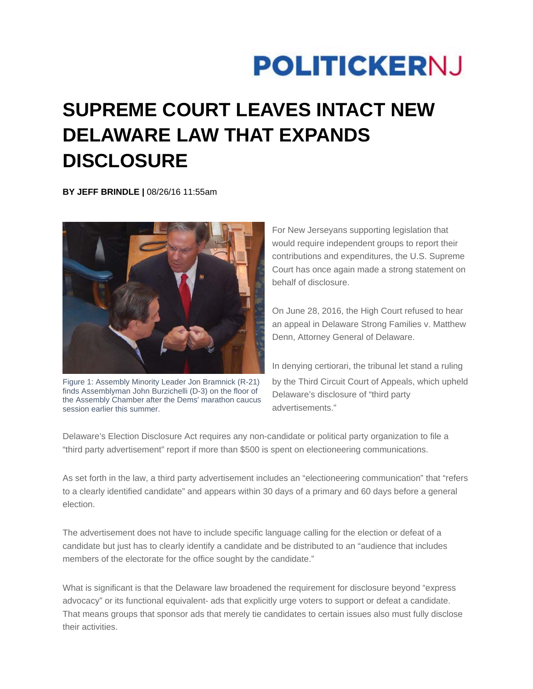## **POLITICKERNJ**

## **SUPREME COURT LEAVES INTACT NEW DELAWARE LAW THAT EXPANDS DISCLOSURE**

**BY JEFF BRINDLE |** 08/26/16 11:55am



Figure 1: Assembly Minority Leader Jon Bramnick (R-21) finds Assemblyman John Burzichelli (D-3) on the floor of the Assembly Chamber after the Dems' marathon caucus session earlier this summer.

For New Jerseyans supporting legislation that would require independent groups to report their contributions and expenditures, the U.S. Supreme Court has once again made a strong statement on behalf of disclosure.

On June 28, 2016, the High Court refused to hear an appeal in Delaware Strong Families v. Matthew Denn, Attorney General of Delaware.

In denying certiorari, the tribunal let stand a ruling by the Third Circuit Court of Appeals, which upheld Delaware's disclosure of "third party advertisements."

Delaware's Election Disclosure Act requires any non-candidate or political party organization to file a "third party advertisement" report if more than \$500 is spent on electioneering communications.

As set forth in the law, a third party advertisement includes an "electioneering communication" that "refers to a clearly identified candidate" and appears within 30 days of a primary and 60 days before a general election.

The advertisement does not have to include specific language calling for the election or defeat of a candidate but just has to clearly identify a candidate and be distributed to an "audience that includes members of the electorate for the office sought by the candidate."

What is significant is that the Delaware law broadened the requirement for disclosure beyond "express advocacy" or its functional equivalent- ads that explicitly urge voters to support or defeat a candidate. That means groups that sponsor ads that merely tie candidates to certain issues also must fully disclose their activities.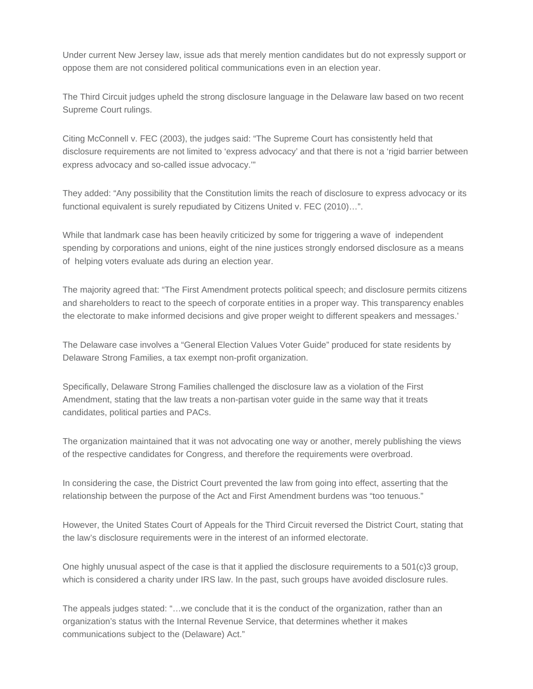Under current New Jersey law, issue ads that merely mention candidates but do not expressly support or oppose them are not considered political communications even in an election year.

The Third Circuit judges upheld the strong disclosure language in the Delaware law based on two recent Supreme Court rulings.

Citing McConnell v. FEC (2003), the judges said: "The Supreme Court has consistently held that disclosure requirements are not limited to 'express advocacy' and that there is not a 'rigid barrier between express advocacy and so-called issue advocacy.'"

They added: "Any possibility that the Constitution limits the reach of disclosure to express advocacy or its functional equivalent is surely repudiated by Citizens United v. FEC (2010)…".

While that landmark case has been heavily criticized by some for triggering a wave of independent spending by corporations and unions, eight of the nine justices strongly endorsed disclosure as a means of helping voters evaluate ads during an election year.

The majority agreed that: "The First Amendment protects political speech; and disclosure permits citizens and shareholders to react to the speech of corporate entities in a proper way. This transparency enables the electorate to make informed decisions and give proper weight to different speakers and messages.'

The Delaware case involves a "General Election Values Voter Guide" produced for state residents by Delaware Strong Families, a tax exempt non-profit organization.

Specifically, Delaware Strong Families challenged the disclosure law as a violation of the First Amendment, stating that the law treats a non-partisan voter guide in the same way that it treats candidates, political parties and PACs.

The organization maintained that it was not advocating one way or another, merely publishing the views of the respective candidates for Congress, and therefore the requirements were overbroad.

In considering the case, the District Court prevented the law from going into effect, asserting that the relationship between the purpose of the Act and First Amendment burdens was "too tenuous."

However, the United States Court of Appeals for the Third Circuit reversed the District Court, stating that the law's disclosure requirements were in the interest of an informed electorate.

One highly unusual aspect of the case is that it applied the disclosure requirements to a  $501(c)3$  group, which is considered a charity under IRS law. In the past, such groups have avoided disclosure rules.

The appeals judges stated: "…we conclude that it is the conduct of the organization, rather than an organization's status with the Internal Revenue Service, that determines whether it makes communications subject to the (Delaware) Act."